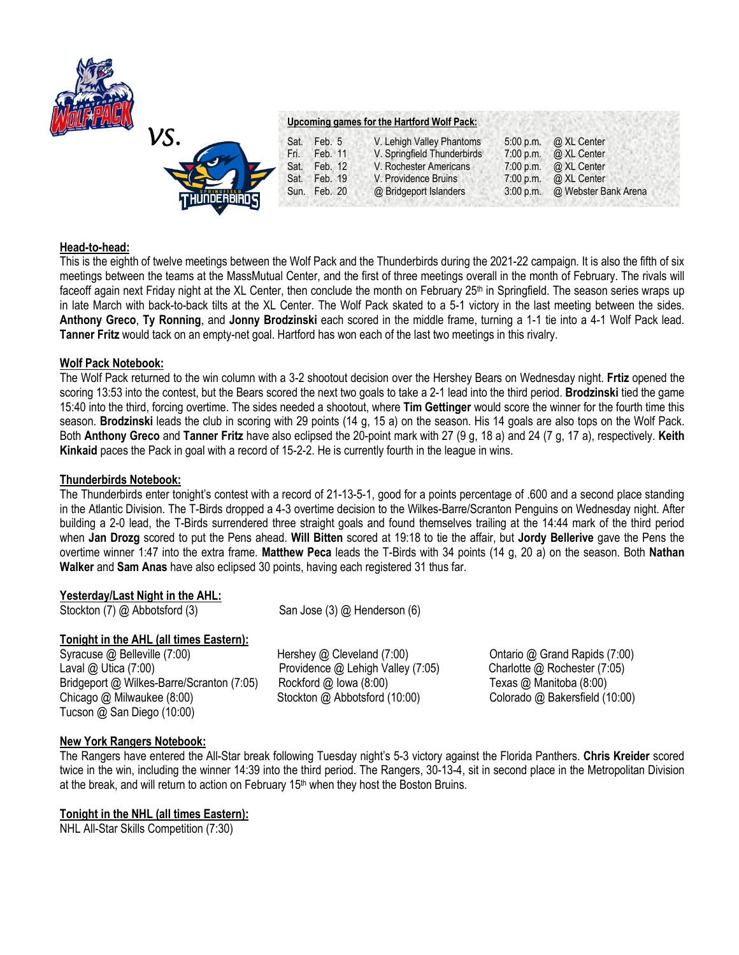

# *VS.*  **Upcoming games for the Hartford Wolf Pack:** Sat. Feb. 5 V. Lehigh Valley Phantoms 5:00 p.m. @ XL Center Fri. Feb. 11 V. Springfield Thunderbirds 7:00 p.m. @ XL Center Sat. Feb. 12 V. Rochester Americans 7:00 p.m. @ XL Center Sat. Feb. 19 V. Providence Bruins 7:00 p.m. @ XL Center Sun. Feb. 20 @ Bridgeport Islanders 3:00 p.m. @ Webster Bank Arena

## **Head-to-head:**

This is the eighth of twelve meetings between the Wolf Pack and the Thunderbirds during the 2021-22 campaign. It is also the fifth of six meetings between the teams at the MassMutual Center, and the first of three meetings overall in the month of February. The rivals will faceoff again next Friday night at the XL Center, then conclude the month on February 25<sup>th</sup> in Springfield. The season series wraps up in late March with back-to-back tilts at the XL Center. The Wolf Pack skated to a 5-1 victory in the last meeting between the sides. **Anthony Greco**, **Ty Ronning**, and **Jonny Brodzinski** each scored in the middle frame, turning a 1-1 tie into a 4-1 Wolf Pack lead. **Tanner Fritz** would tack on an empty-net goal. Hartford has won each of the last two meetings in this rivalry.

#### **Wolf Pack Notebook:**

The Wolf Pack returned to the win column with a 3-2 shootout decision over the Hershey Bears on Wednesday night. **Frtiz** opened the scoring 13:53 into the contest, but the Bears scored the next two goals to take a 2-1 lead into the third period. **Brodzinski** tied the game 15:40 into the third, forcing overtime. The sides needed a shootout, where **Tim Gettinger** would score the winner for the fourth time this season. **Brodzinski** leads the club in scoring with 29 points (14 g, 15 a) on the season. His 14 goals are also tops on the Wolf Pack. Both **Anthony Greco** and **Tanner Fritz** have also eclipsed the 20-point mark with 27 (9 g, 18 a) and 24 (7 g, 17 a), respectively. **Keith Kinkaid** paces the Pack in goal with a record of 15-2-2. He is currently fourth in the league in wins.

#### **Thunderbirds Notebook:**

The Thunderbirds enter tonight's contest with a record of 21-13-5-1, good for a points percentage of .600 and a second place standing in the Atlantic Division. The T-Birds dropped a 4-3 overtime decision to the Wilkes-Barre/Scranton Penguins on Wednesday night. After building a 2-0 lead, the T-Birds surrendered three straight goals and found themselves trailing at the 14:44 mark of the third period when **Jan Drozg** scored to put the Pens ahead. **Will Bitten** scored at 19:18 to tie the affair, but **Jordy Bellerive** gave the Pens the overtime winner 1:47 into the extra frame. **Matthew Peca** leads the T-Birds with 34 points (14 g, 20 a) on the season. Both **Nathan Walker** and **Sam Anas** have also eclipsed 30 points, having each registered 31 thus far.

## **Yesterday/Last Night in the AHL:**

Stockton (7) @ Abbotsford (3) San Jose (3) @ Henderson (6)

## **Tonight in the AHL (all times Eastern):**

Syracuse @ Belleville (7:00) Hershey @ Cleveland (7:00) Ontario @ Grand Rapids (7:00) Laval @ Utica (7:00) Providence @ Lehigh Valley (7:05) Charlotte @ Rochester (7:05) Bridgeport @ Wilkes-Barre/Scranton (7:05) Rockford @ Iowa (8:00) Texas @ Manitoba (8:00) Chicago @ Milwaukee (8:00) Stockton @ Abbotsford (10:00) Colorado @ Bakersfield (10:00) Tucson @ San Diego (10:00)

## **New York Rangers Notebook:**

The Rangers have entered the All-Star break following Tuesday night's 5-3 victory against the Florida Panthers. **Chris Kreider** scored twice in the win, including the winner 14:39 into the third period. The Rangers, 30-13-4, sit in second place in the Metropolitan Division at the break, and will return to action on February  $15<sup>th</sup>$  when they host the Boston Bruins.

## **Tonight in the NHL (all times Eastern):**

NHL All-Star Skills Competition (7:30)